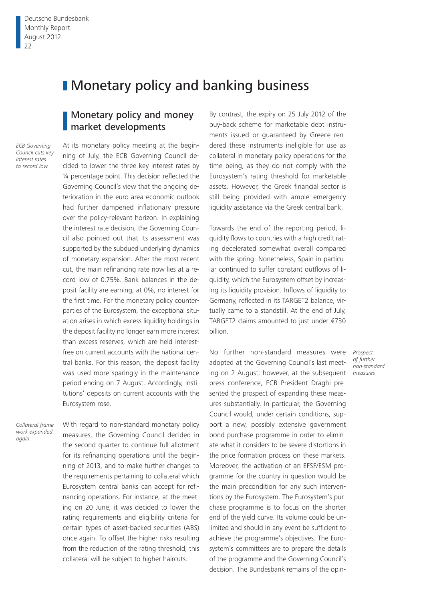# **I** Monetary policy and banking business

## Monetary policy and money market developments

*ECB Governing Council cuts key interest rates to record low*

At its monetary policy meeting at the beginning of July, the ECB Governing Council decided to lower the three key interest rates by ¼ percentage point. This decision reflected the Governing Council's view that the ongoing deterioration in the euro-area economic outlook had further dampened inflationary pressure over the policy-relevant horizon. In explaining the interest rate decision, the Governing Council also pointed out that its assessment was supported by the subdued underlying dynamics of monetary expansion. After the most recent cut, the main refinancing rate now lies at a record low of 0.75%. Bank balances in the deposit facility are earning, at 0%, no interest for the first time. For the monetary policy counterparties of the Eurosystem, the exceptional situation arises in which excess liquidity holdings in the deposit facility no longer earn more interest than excess reserves, which are held interestfree on current accounts with the national central banks. For this reason, the deposit facility was used more sparingly in the maintenance period ending on 7 August. Accordingly, institutions' deposits on current accounts with the Eurosystem rose.

*Collateral framework expanded again*

With regard to non-standard monetary policy measures, the Governing Council decided in the second quarter to continue full allotment for its refinancing operations until the beginning of 2013, and to make further changes to the requirements pertaining to collateral which Eurosystem central banks can accept for refinancing operations. For instance, at the meeting on 20 June, it was decided to lower the rating requirements and eligibility criteria for certain types of asset-backed securities (ABS) once again. To offset the higher risks resulting from the reduction of the rating threshold, this collateral will be subject to higher haircuts.

By contrast, the expiry on 25 July 2012 of the buy-back scheme for marketable debt instruments issued or guaranteed by Greece rendered these instruments ineligible for use as collateral in monetary policy operations for the time being, as they do not comply with the Eurosystem's rating threshold for marketable assets. However, the Greek financial sector is still being provided with ample emergency liquidity assistance via the Greek central bank.

Towards the end of the reporting period, liquidity flows to countries with a high credit rating decelerated somewhat overall compared with the spring. Nonetheless, Spain in particular continued to suffer constant outflows of liquidity, which the Eurosystem offset by increasing its liquidity provision. Inflows of liquidity to Germany, reflected in its TARGET2 balance, virtually came to a standstill. At the end of July, TARGET2 claims amounted to just under €730 billion.

No further non-standard measures were adopted at the Governing Council's last meeting on 2 August; however, at the subsequent press conference, ECB President Draghi presented the prospect of expanding these measures substantially. In particular, the Governing Council would, under certain conditions, support a new, possibly extensive government bond purchase programme in order to eliminate what it considers to be severe distortions in the price formation process on these markets. Moreover, the activation of an EFSF/ESM programme for the country in question would be the main precondition for any such interventions by the Eurosystem. The Eurosystem's purchase programme is to focus on the shorter end of the yield curve. Its volume could be unlimited and should in any event be sufficient to achieve the programme's objectives. The Eurosystem's committees are to prepare the details of the programme and the Governing Council's decision. The Bundesbank remains of the opin-

*Prospect of further non-standard measures*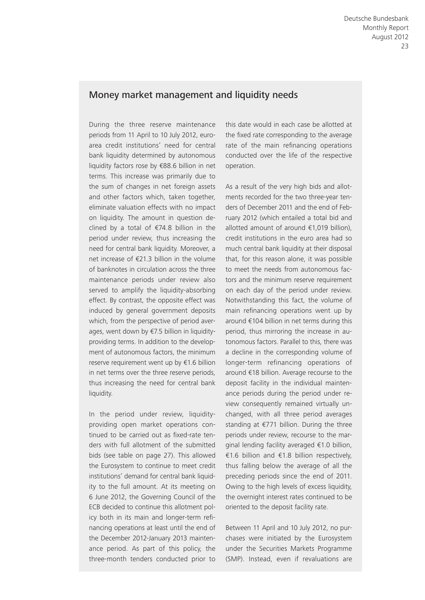## Money market management and liquidity needs

During the three reserve maintenance periods from 11 April to 10 July 2012, euroarea credit institutions' need for central bank liquidity determined by autonomous liquidity factors rose by €88.6 billion in net terms. This increase was primarily due to the sum of changes in net foreign assets and other factors which, taken together, eliminate valuation effects with no impact on liquidity. The amount in question declined by a total of  $\epsilon$ 74.8 billion in the period under review, thus increasing the need for central bank liquidity. Moreover, a net increase of €21.3 billion in the volume of banknotes in circulation across the three maintenance periods under review also served to amplify the liquidity-absorbing effect. By contrast, the opposite effect was induced by general government deposits which, from the perspective of period averages, went down by €7.5 billion in liquidityproviding terms. In addition to the development of autonomous factors, the minimum reserve requirement went up by €1.6 billion in net terms over the three reserve periods, thus increasing the need for central bank liquidity.

In the period under review, liquidityproviding open market operations continued to be carried out as fixed-rate tenders with full allotment of the submitted bids (see table on page 27). This allowed the Eurosystem to continue to meet credit institutions' demand for central bank liquidity to the full amount. At its meeting on 6 June 2012, the Governing Council of the ECB decided to continue this allotment policy both in its main and longer-term refinancing operations at least until the end of the December 2012-January 2013 maintenance period. As part of this policy, the three-month tenders conducted prior to

this date would in each case be allotted at the fixed rate corresponding to the average rate of the main refinancing operations conducted over the life of the respective operation.

As a result of the very high bids and allotments recorded for the two three-year tenders of December 2011 and the end of February 2012 (which entailed a total bid and allotted amount of around €1,019 billion), credit institutions in the euro area had so much central bank liquidity at their disposal that, for this reason alone, it was possible to meet the needs from autonomous factors and the minimum reserve requirement on each day of the period under review. Notwithstanding this fact, the volume of main refinancing operations went up by around €104 billion in net terms during this period, thus mirroring the increase in autonomous factors. Parallel to this, there was a decline in the corresponding volume of longer-term refinancing operations of around €18 billion. Average recourse to the deposit facility in the individual maintenance periods during the period under review consequently remained virtually unchanged, with all three period averages standing at €771 billion. During the three periods under review, recourse to the marginal lending facility averaged €1.0 billion, €1.6 billion and €1.8 billion respectively, thus falling below the average of all the preceding periods since the end of 2011. Owing to the high levels of excess liquidity, the overnight interest rates continued to be oriented to the deposit facility rate.

Between 11 April and 10 July 2012, no purchases were initiated by the Eurosystem under the Securities Markets Programme (SMP). Instead, even if revaluations are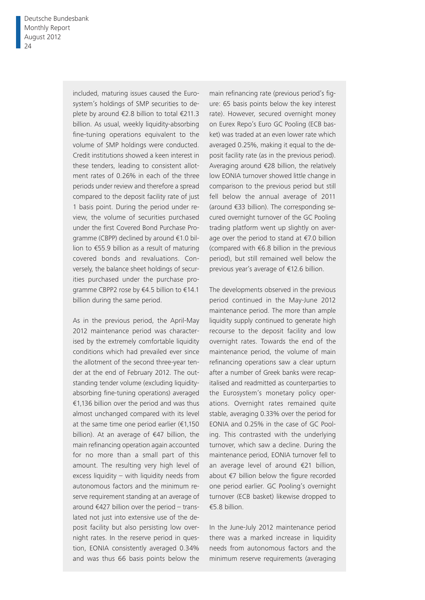included, maturing issues caused the Eurosystem's holdings of SMP securities to deplete by around €2.8 billion to total €211.3 billion. As usual, weekly liquidity-absorbing fine-tuning operations equivalent to the volume of SMP holdings were conducted. Credit institutions showed a keen interest in these tenders, leading to consistent allotment rates of 0.26% in each of the three periods under review and therefore a spread compared to the deposit facility rate of just 1 basis point. During the period under review, the volume of securities purchased under the first Covered Bond Purchase Programme (CBPP) declined by around €1.0 billion to €55.9 billion as a result of maturing covered bonds and revaluations. Conversely, the balance sheet holdings of securities purchased under the purchase programme CBPP2 rose by €4.5 billion to €14.1 billion during the same period.

As in the previous period, the April-May 2012 maintenance period was characterised by the extremely comfortable liquidity conditions which had prevailed ever since the allotment of the second three-year tender at the end of February 2012. The outstanding tender volume (excluding liquidityabsorbing fine-tuning operations) averaged €1,136 billion over the period and was thus almost unchanged compared with its level at the same time one period earlier  $(€1,150)$ billion). At an average of €47 billion, the main refinancing operation again accounted for no more than a small part of this amount. The resulting very high level of excess liquidity – with liquidity needs from autonomous factors and the minimum reserve requirement standing at an average of around  $€427$  billion over the period – translated not just into extensive use of the deposit facility but also persisting low overnight rates. In the reserve period in question, EONIA consistently averaged 0.34% and was thus 66 basis points below the

main refinancing rate (previous period's figure: 65 basis points below the key interest rate). However, secured overnight money on Eurex Repo's Euro GC Pooling (ECB basket) was traded at an even lower rate which averaged 0.25%, making it equal to the deposit facility rate (as in the previous period). Averaging around €28 billion, the relatively low EONIA turnover showed little change in comparison to the previous period but still fell below the annual average of 2011 (around €33 billion). The corresponding secured overnight turnover of the GC Pooling trading platform went up slightly on average over the period to stand at €7.0 billion (compared with €6.8 billion in the previous period), but still remained well below the previous year's average of €12.6 billion.

The developments observed in the previous period continued in the May-June 2012 maintenance period. The more than ample liquidity supply continued to generate high recourse to the deposit facility and low overnight rates. Towards the end of the maintenance period, the volume of main refinancing operations saw a clear upturn after a number of Greek banks were recapitalised and readmitted as counterparties to the Eurosystem's monetary policy operations. Overnight rates remained quite stable, averaging 0.33% over the period for EONIA and 0.25% in the case of GC Pooling. This contrasted with the underlying turnover, which saw a decline. During the maintenance period, EONIA turnover fell to an average level of around €21 billion, about  $€7$  billion below the figure recorded one period earlier. GC Pooling's overnight turnover (ECB basket) likewise dropped to €5.8 billion.

In the June-July 2012 maintenance period there was a marked increase in liquidity needs from autonomous factors and the minimum reserve requirements (averaging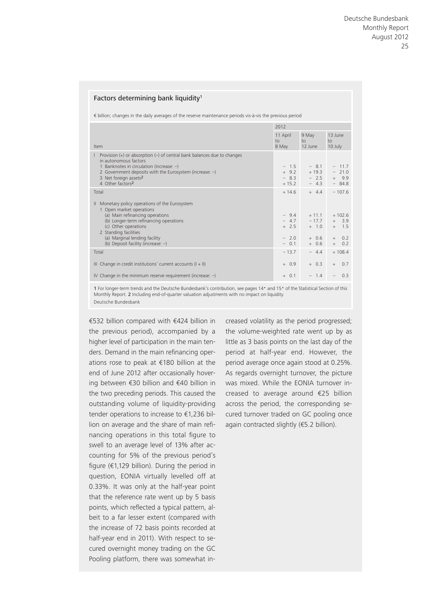#### Factors determining bank liquidity<sup>1</sup>

€ billion; changes in the daily averages of the reserve maintenance periods vis-à-vis the previous period

|                                                                                                                                                                                                                                                                                        |                                                | 2012                                                |                                                            |  |  |
|----------------------------------------------------------------------------------------------------------------------------------------------------------------------------------------------------------------------------------------------------------------------------------------|------------------------------------------------|-----------------------------------------------------|------------------------------------------------------------|--|--|
| Item                                                                                                                                                                                                                                                                                   | 11 April<br>10 <sub>o</sub><br>8 May           | 9 May<br>$\overline{10}$<br>12 June                 | 13 June<br>$\overline{10}$<br>10 July                      |  |  |
| Provision $(+)$ or absorption $(-)$ of central bank balances due to changes<br>in autonomous factors<br>1 Banknotes in circulation (increase: $-$ )<br>2 Government deposits with the Eurosystem (increase: $-$ )<br>3 Net foreign assets <sup>2</sup><br>4 Other factors <sup>2</sup> | $-1.5$<br>$+9.2$<br>$-8.3$<br>$+15.2$          | $-8.1$<br>$+19.3$<br>$-2.5$<br>$-4.3$               | $-11.7$<br>$-21.0$<br>$+ 9.9$<br>$-84.8$                   |  |  |
| Total                                                                                                                                                                                                                                                                                  | $+14.6$                                        | $+ 4.4$                                             | $-107.6$                                                   |  |  |
| Monetary policy operations of the Eurosystem<br>1 Open market operations<br>(a) Main refinancing operations<br>(b) Longer-term refinancing operations<br>(c) Other operations<br>2 Standing facilities<br>(a) Marginal lending facility<br>(b) Deposit facility (increase: $-$ )       | $-9.4$<br>$-4.7$<br>$+2.5$<br>$-2.0$<br>$-0.1$ | $+11.1$<br>$-17.7$<br>$+ 1.0$<br>$+ 0.6$<br>$+ 0.6$ | $+102.6$<br>$+ 3.9$<br>$+$ 1.5<br>0.2<br>$+$<br>$+$<br>0.2 |  |  |
| Total                                                                                                                                                                                                                                                                                  | $-13.7$                                        | $-4.4$                                              | $+108.4$                                                   |  |  |
| III Change in credit institutions' current accounts $(I + II)$                                                                                                                                                                                                                         | $+0.9$                                         | $+ 0.3$                                             | 0.7<br>$+$                                                 |  |  |
| IV Change in the minimum reserve requirement (increase: $-$ )                                                                                                                                                                                                                          | $+ 0.1$                                        | $-1.4$                                              | 0.3<br>$\overline{\phantom{0}}$                            |  |  |
|                                                                                                                                                                                                                                                                                        |                                                |                                                     |                                                            |  |  |

1 For longer-term trends and the Deutsche Bundesbank's contribution, see pages 14• and 15• of the Statistical Section of this Monthly Report. 2 Including end-of-quarter valuation adjustments with no impact on liquidity. Deutsche Bundesbank

€532 billion compared with €424 billion in the previous period), accompanied by a higher level of participation in the main tenders. Demand in the main refinancing operations rose to peak at €180 billion at the end of June 2012 after occasionally hovering between €30 billion and €40 billion in the two preceding periods. This caused the outstanding volume of liquidity-providing tender operations to increase to €1,236 billion on average and the share of main refinancing operations in this total figure to swell to an average level of 13% after accounting for 5% of the previous period's figure ( $\epsilon$ 1,129 billion). During the period in question, EONIA virtually levelled off at 0.33%. It was only at the half-year point that the reference rate went up by 5 basis points, which reflected a typical pattern, albeit to a far lesser extent (compared with the increase of 72 basis points recorded at half-year end in 2011). With respect to secured overnight money trading on the GC Pooling platform, there was somewhat increased volatility as the period progressed; the volume-weighted rate went up by as little as 3 basis points on the last day of the period at half-year end. However, the period average once again stood at 0.25%. As regards overnight turnover, the picture was mixed. While the EONIA turnover increased to average around €25 billion across the period, the corresponding secured turnover traded on GC pooling once again contracted slightly (€5.2 billion).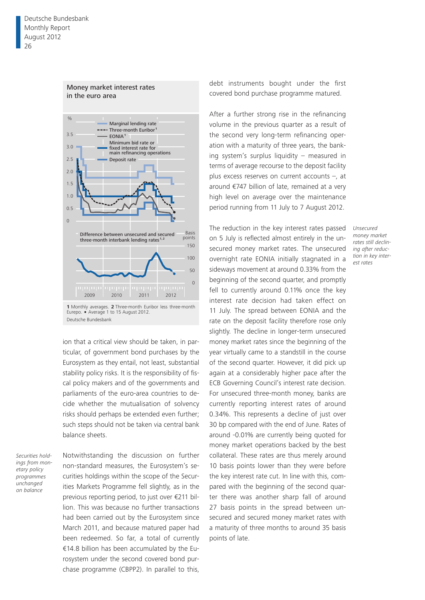

#### Money market interest rates in the euro area

ion that a critical view should be taken, in particular, of government bond purchases by the Eurosystem as they entail, not least, substantial stability policy risks. It is the responsibility of fiscal policy makers and of the governments and parliaments of the euro-area countries to decide whether the mutualisation of solvency risks should perhaps be extended even further; such steps should not be taken via central bank balance sheets.

*Securities holdings from monetary policy programmes unchanged on balance*

Notwithstanding the discussion on further non-standard measures, the Eurosystem's securities holdings within the scope of the Securities Markets Programme fell slightly, as in the previous reporting period, to just over €211 billion. This was because no further transactions had been carried out by the Eurosystem since March 2011, and because matured paper had been redeemed. So far, a total of currently €14.8 billion has been accumulated by the Eurosystem under the second covered bond purchase programme (CBPP2). In parallel to this,

debt instruments bought under the first covered bond purchase programme matured.

After a further strong rise in the refinancing volume in the previous quarter as a result of the second very long-term refinancing operation with a maturity of three years, the banking system's surplus liquidity – measured in terms of average recourse to the deposit facility plus excess reserves on current accounts –, at around €747 billion of late, remained at a very high level on average over the maintenance period running from 11 July to 7 August 2012.

The reduction in the key interest rates passed on 5 July is reflected almost entirely in the unsecured money market rates. The unsecured overnight rate EONIA initially stagnated in a sideways movement at around 0.33% from the beginning of the second quarter, and promptly fell to currently around 0.11% once the key interest rate decision had taken effect on 11 July. The spread between EONIA and the rate on the deposit facility therefore rose only slightly. The decline in longer-term unsecured money market rates since the beginning of the year virtually came to a standstill in the course of the second quarter. However, it did pick up again at a considerably higher pace after the ECB Governing Council's interest rate decision. For unsecured three-month money, banks are currently reporting interest rates of around 0.34%. This represents a decline of just over 30 bp compared with the end of June. Rates of around -0.01% are currently being quoted for money market operations backed by the best collateral. These rates are thus merely around 10 basis points lower than they were before the key interest rate cut. In line with this, compared with the beginning of the second quarter there was another sharp fall of around 27 basis points in the spread between unsecured and secured money market rates with a maturity of three months to around 35 basis points of late.

*Unsecured money market rates still declining after reduction in key interest rates*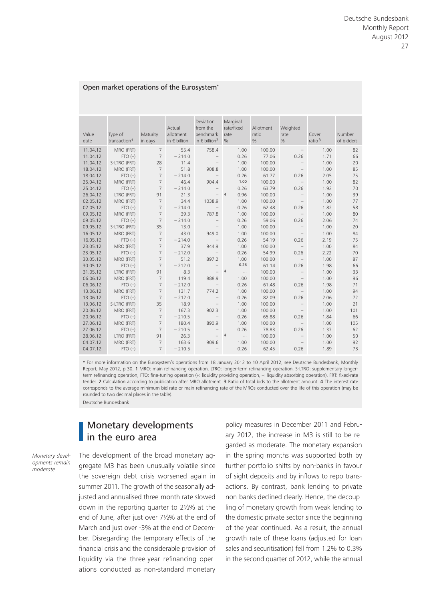#### Open market operations of the Eurosystem\*

| Value<br>date | Type of<br>transaction <sup>1</sup> | Maturity<br>in days | Actual<br>allotment<br>in $\epsilon$ billion | Deviation<br>from the<br>benchmark<br>in $\notin$ billion <sup>2</sup> | Marginal<br>rate/fixed<br>rate<br>% | Allotment<br>ratio<br>$\frac{0}{6}$ | Weighted<br>rate<br>$\frac{0}{0}$ | Cover<br>ratio $3$ | Number<br>of bidders |
|---------------|-------------------------------------|---------------------|----------------------------------------------|------------------------------------------------------------------------|-------------------------------------|-------------------------------------|-----------------------------------|--------------------|----------------------|
| 11.04.12      | MRO (FRT)                           | $7\overline{ }$     | 55.4                                         | 758.4                                                                  | 1.00                                | 100.00                              | $\overline{\phantom{m}}$          | 1.00               | 82                   |
| 11.04.12      | $FTO(-)$                            | $\overline{7}$      | $-214.0$                                     |                                                                        | 0.26                                | 77.06                               | 0.26                              | 1.71               | 66                   |
| 11.04.12      | S-LTRO (FRT)                        | 28                  | 11.4                                         | $\qquad \qquad -$                                                      | 1.00                                | 100.00                              |                                   | 1.00               | 20                   |
| 18.04.12      | MRO (FRT)                           | $7\overline{ }$     | 51.8                                         | 908.8                                                                  | 1.00                                | 100.00                              | $\overline{\phantom{0}}$          | 1.00               | 85                   |
| 18.04.12      | $FTO(-)$                            | $\overline{7}$      | $-214.0$                                     | $\overline{\phantom{a}}$                                               | 0.26                                | 61.77                               | 0.26                              | 2.05               | 75                   |
| 25.04.12      | MRO (FRT)                           | $\overline{7}$      | 46.4                                         | 904.4                                                                  | 1.00                                | 100.00                              | $\overline{\phantom{a}}$          | 1.00               | 82                   |
| 25.04.12      | $FTO(-)$                            | $\overline{7}$      | $-214.0$                                     | $\overline{\phantom{m}}$                                               | 0.26                                | 63.79                               | 0.26                              | 1.92               | 70                   |
| 26.04.12      | LTRO (FRT)                          | 91                  | 21.3                                         | $\overline{\phantom{0}}$                                               | $\overline{4}$<br>0.96              | 100.00                              | $\qquad \qquad -$                 | 1.00               | 39                   |
| 02.05.12      | MRO (FRT)                           | $\overline{7}$      | 34.4                                         | 1038.9                                                                 | 1.00                                | 100.00                              | $\overline{\phantom{a}}$          | 1.00               | 77                   |
| 02.05.12      | $FTO(-)$                            | $\overline{7}$      | $-214.0$                                     | $\qquad \qquad -$                                                      | 0.26                                | 62.48                               | 0.26                              | 1.82               | 58                   |
| 09.05.12      | MRO (FRT)                           | $\overline{7}$      | 39.3                                         | 787.8                                                                  | 1.00                                | 100.00                              | $\overline{\phantom{a}}$          | 1.00               | 80                   |
| 09.05.12      | $FTO(-)$                            | $\overline{7}$      | $-214.0$                                     | $\overline{\phantom{m}}$                                               | 0.26                                | 59.06                               | 0.26                              | 2.06               | 74                   |
| 09.05.12      | S-LTRO (FRT)                        | 35                  | 13.0                                         | $\overline{\phantom{m}}$                                               | 1.00                                | 100.00                              | $\overline{\phantom{0}}$          | 1.00               | 20                   |
| 16.05.12      | MRO (FRT)                           | $\overline{7}$      | 43.0                                         | 949.0                                                                  | 1.00                                | 100.00                              | $\overline{\phantom{m}}$          | 1.00               | 84                   |
| 16.05.12      | $FTO(-)$                            | $\overline{7}$      | $-214.0$                                     | $\overline{\phantom{a}}$                                               | 0.26                                | 54.19                               | 0.26                              | 2.19               | 75                   |
| 23.05.12      | MRO (FRT)                           | $\overline{7}$      | 37.9                                         | 944.9                                                                  | 1.00                                | 100.00                              | $\overline{\phantom{a}}$          | 1.00               | 84                   |
| 23.05.12      | $FTO(-)$                            | $\overline{7}$      | $-212.0$                                     | $\qquad \qquad -$                                                      | 0.26                                | 54.99                               | 0.26                              | 2.22               | 70                   |
| 30.05.12      | MRO (FRT)                           | $\overline{7}$      | 51.2                                         | 897.2                                                                  | 1.00                                | 100.00                              | $\overline{\phantom{a}}$          | 1.00               | 87                   |
| 30.05.12      | $FTO(-)$                            | $\overline{7}$      | $-212.0$                                     | $\overline{\phantom{a}}$                                               | 0.26                                | 61.14                               | 0.26                              | 1.98               | 66                   |
| 31.05.12      | LTRO (FRT)                          | 91                  | 8.3                                          | $\overline{a}$                                                         | $\overline{4}$<br>$\cdots$          | 100.00                              | $\overline{\phantom{m}}$          | 1.00               | 33                   |
| 06.06.12      | MRO (FRT)                           | $\overline{7}$      | 119.4                                        | 888.9                                                                  | 1.00                                | 100.00                              | $\overline{\phantom{a}}$          | 1.00               | 96                   |
| 06.06.12      | $FTO(-)$                            | $7\overline{ }$     | $-212.0$                                     | $\overline{\phantom{m}}$                                               | 0.26                                | 61.48                               | 0.26                              | 1.98               | 71                   |
| 13.06.12      | MRO (FRT)                           | $\overline{7}$      | 131.7                                        | 774.2                                                                  | 1.00                                | 100.00                              | $\overline{\phantom{m}}$          | 1.00               | 94                   |
| 13.06.12      | $FTO(-)$                            | $\overline{7}$      | $-212.0$                                     | $\qquad \qquad -$                                                      | 0.26                                | 82.09                               | 0.26                              | 2.06               | 72                   |
| 13.06.12      | S-LTRO (FRT)                        | 35                  | 18.9                                         |                                                                        | 1.00                                | 100.00                              |                                   | 1.00               | 21                   |
| 20.06.12      | MRO (FRT)                           | $7\overline{ }$     | 167.3                                        | 902.3                                                                  | 1.00                                | 100.00                              |                                   | 1.00               | 101                  |
| 20.06.12      | $FTO(-)$                            | $\overline{7}$      | $-210.5$                                     | $\qquad \qquad -$                                                      | 0.26                                | 65.88                               | 0.26                              | 1.84               | 66                   |
| 27.06.12      | MRO (FRT)                           | $\overline{7}$      | 180.4                                        | 890.9                                                                  | 1.00                                | 100.00                              |                                   | 1.00               | 105                  |
| 27.06.12      | $FTO(-)$                            | $\overline{7}$      | $-210.5$                                     | $\overline{\phantom{0}}$                                               | 0.26                                | 78.83                               | 0.26                              | 1.37               | 62                   |
| 28.06.12      | LTRO (FRT)                          | 91                  | 26.3                                         |                                                                        | $\overline{4}$<br>$\ldots$          | 100.00                              |                                   | 1.00               | 50                   |
| 04.07.12      | MRO (FRT)                           | $7\overline{ }$     | 163.6                                        | 909.6                                                                  | 1.00                                | 100.00                              |                                   | 1.00               | 92                   |
| 04.07.12      | $FTO(-)$                            | $\overline{7}$      | $-210.5$                                     |                                                                        | 0.26                                | 62.45                               | 0.26                              | 1.89               | 73                   |

\* For more information on the Eurosystem's operations from 18 January 2012 to 10 April 2012, see Deutsche Bundesbank, Monthly Report, May 2012, p 30. 1 MRO: main refinancing operation, LTRO: longer-term refinancing operation, S-LTRO: supplementary longerterm refinancing operation, FTO: fine-tuning operation (+: liquidity providing operation, -: liquidity absorbing operation), FRT: fixed-rate tender. 2 Calculation according to publication after MRO allotment. 3 Ratio of total bids to the allotment amount. 4 The interest rate corresponds to the average minimum bid rate or main refinancing rate of the MROs conducted over the life of this operation (may be rounded to two decimal places in the table).

Deutsche Bundesbank

## Monetary developments in the euro area

*Monetary developments remain moderate*

The development of the broad monetary aggregate M3 has been unusually volatile since the sovereign debt crisis worsened again in summer 2011. The growth of the seasonally adjusted and annualised three-month rate slowed down in the reporting quarter to 2½% at the end of June, after just over 7½% at the end of March and just over -3% at the end of December. Disregarding the temporary effects of the financial crisis and the considerable provision of liquidity via the three-year refinancing operations conducted as non-standard monetary

policy measures in December 2011 and February 2012, the increase in M3 is still to be regarded as moderate. The monetary expansion in the spring months was supported both by further portfolio shifts by non-banks in favour of sight deposits and by inflows to repo transactions. By contrast, bank lending to private non-banks declined clearly. Hence, the decoupling of monetary growth from weak lending to the domestic private sector since the beginning of the year continued. As a result, the annual growth rate of these loans (adjusted for loan sales and securitisation) fell from 1.2% to 0.3% in the second quarter of 2012, while the annual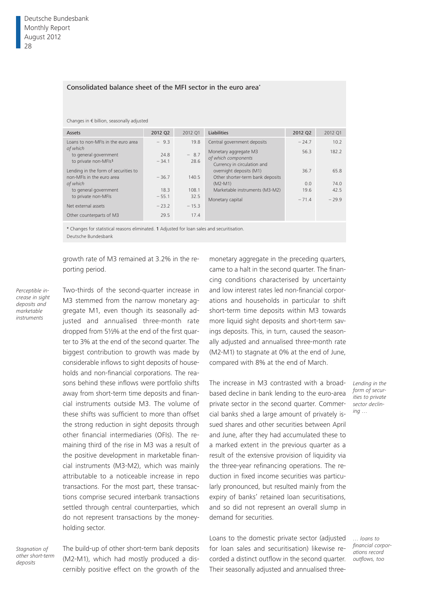## Consolidated balance sheet of the MFI sector in the euro area\*

#### Changes in € billion, seasonally adjusted

| <b>Assets</b>                                                     | 2012 Q2         | 2012 01        | Liabilities                                                                 | 2012 Q2 | 2012 Q1 |
|-------------------------------------------------------------------|-----------------|----------------|-----------------------------------------------------------------------------|---------|---------|
| Loans to non-MEIs in the euro area                                | $-9.3$          | 19.8           | Central government deposits                                                 | $-24.7$ | 10.2    |
| of which<br>to general government<br>to private non-MFIs1         | 24.8<br>$-34.1$ | $-8.7$<br>28.6 | Monetary aggregate M3<br>of which components<br>Currency in circulation and | 56.3    | 182.2   |
| Lending in the form of securities to<br>non-MFIs in the euro area | $-36.7$         | 140.5          | overnight deposits (M1)<br>Other shorter-term bank deposits                 | 36.7    | 65.8    |
| of which                                                          |                 |                | $(M2-M1)$                                                                   | 0.0     | 74.0    |
| to general government                                             | 18.3            | 108.1          | Marketable instruments (M3-M2)                                              | 19.6    | 42.5    |
| to private non-MFIs                                               | $-55.1$         | 32.5           | Monetary capital                                                            | $-71.4$ | $-29.9$ |
| Net external assets                                               | $-23.2$         | $-15.3$        |                                                                             |         |         |
| Other counterparts of M3                                          | 29.5            | 17.4           |                                                                             |         |         |

\* Changes for statistical reasons eliminated. 1 Adjusted for loan sales and securitisation. Deutsche Bundesbank

growth rate of M3 remained at 3.2% in the reporting period.

*Perceptible increase in sight deposits and marketable instruments*

Two-thirds of the second-quarter increase in M3 stemmed from the narrow monetary aggregate M1, even though its seasonally adjusted and annualised three-month rate dropped from 5½% at the end of the first quarter to 3% at the end of the second quarter. The biggest contribution to growth was made by considerable inflows to sight deposits of households and non-financial corporations. The reasons behind these inflows were portfolio shifts away from short-term time deposits and financial instruments outside M3. The volume of these shifts was sufficient to more than offset the strong reduction in sight deposits through other financial intermediaries (OFIs). The remaining third of the rise in M3 was a result of the positive development in marketable financial instruments (M3-M2), which was mainly attributable to a noticeable increase in repo transactions. For the most part, these transactions comprise secured interbank transactions settled through central counterparties, which do not represent transactions by the moneyholding sector.

*Stagnation of other short-term deposits*

The build-up of other short-term bank deposits (M2-M1), which had mostly produced a discernibly positive effect on the growth of the

monetary aggregate in the preceding quarters, came to a halt in the second quarter. The financing conditions characterised by uncertainty and low interest rates led non-financial corporations and households in particular to shift short-term time deposits within M3 towards more liquid sight deposits and short-term savings deposits. This, in turn, caused the seasonally adjusted and annualised three-month rate (M2-M1) to stagnate at 0% at the end of June, compared with 8% at the end of March.

The increase in M3 contrasted with a broadbased decline in bank lending to the euro-area private sector in the second quarter. Commercial banks shed a large amount of privately issued shares and other securities between April and June, after they had accumulated these to a marked extent in the previous quarter as a result of the extensive provision of liquidity via the three-year refinancing operations. The reduction in fixed income securities was particularly pronounced, but resulted mainly from the expiry of banks' retained loan securitisations, and so did not represent an overall slump in demand for securities.

Loans to the domestic private sector (adjusted for loan sales and securitisation) likewise recorded a distinct outflow in the second quarter. Their seasonally adjusted and annualised three*Lending in the form of securities to private sector declining …*

*… loans to financial corporations record outflows, too*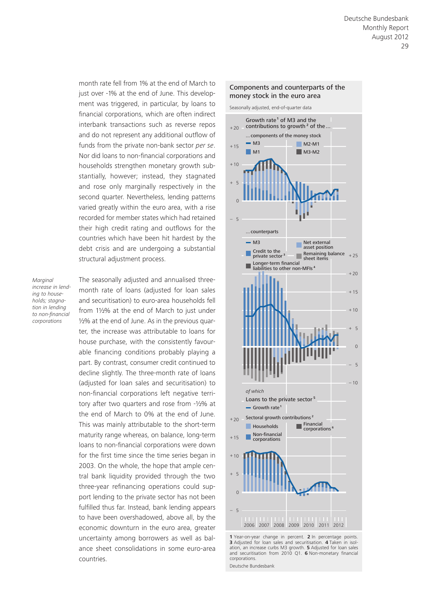month rate fell from 1% at the end of March to just over -1% at the end of June. This development was triggered, in particular, by loans to financial corporations, which are often indirect interbank transactions such as reverse repos and do not represent any additional outflow of funds from the private non-bank sector *per se*. Nor did loans to non-financial corporations and households strengthen monetary growth substantially, however; instead, they stagnated and rose only marginally respectively in the second quarter. Nevertheless, lending patterns varied greatly within the euro area, with a rise recorded for member states which had retained their high credit rating and outflows for the countries which have been hit hardest by the debt crisis and are undergoing a substantial structural adjustment process.

*Marginal increase in lending to households; stagnation in lending to non-financial corporations*

The seasonally adjusted and annualised threemonth rate of loans (adjusted for loan sales and securitisation) to euro-area households fell from 1½% at the end of March to just under ½% at the end of June. As in the previous quarter, the increase was attributable to loans for house purchase, with the consistently favourable financing conditions probably playing a part. By contrast, consumer credit continued to decline slightly. The three-month rate of loans (adjusted for loan sales and securitisation) to non-financial corporations left negative territory after two quarters and rose from -½% at the end of March to 0% at the end of June. This was mainly attributable to the short-term maturity range whereas, on balance, long-term loans to non-financial corporations were down for the first time since the time series began in 2003. On the whole, the hope that ample central bank liquidity provided through the two three-year refinancing operations could support lending to the private sector has not been fulfilled thus far. Instead, bank lending appears to have been overshadowed, above all, by the economic downturn in the euro area, greater uncertainty among borrowers as well as balance sheet consolidations in some euro-area countries.



Components and counterparts of the

**<sup>1</sup>** Year-on-year change in percent. **2** In percentage points. **3** Adjusted for loan sales and securitisation. **4** Taken in isolation, an increase curbs M3 growth. **5** Adjusted for loan sales and securitisation from 2010 Q1. **6** Non-monetary financial corporations. Deutsche Bundesbank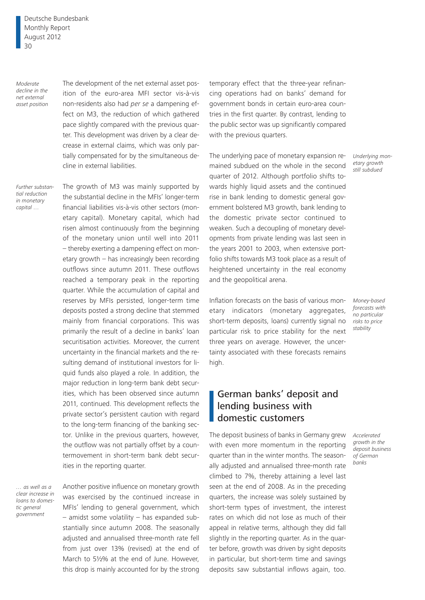Deutsche Bundesbank Monthly Report August 2012 30

*Moderate decline in the net external asset position* The development of the net external asset position of the euro-area MFI sector vis-à-vis non-residents also had *per se* a dampening effect on M3, the reduction of which gathered pace slightly compared with the previous quarter. This development was driven by a clear decrease in external claims, which was only partially compensated for by the simultaneous decline in external liabilities.

*Further substantial reduction in monetary capital …*

The growth of M3 was mainly supported by the substantial decline in the MFIs' longer-term financial liabilities vis-à-vis other sectors (monetary capital). Monetary capital, which had risen almost continuously from the beginning of the monetary union until well into 2011 – thereby exerting a dampening effect on monetary growth – has increasingly been recording outflows since autumn 2011. These outflows reached a temporary peak in the reporting quarter. While the accumulation of capital and reserves by MFIs persisted, longer-term time deposits posted a strong decline that stemmed mainly from financial corporations. This was primarily the result of a decline in banks' loan securitisation activities. Moreover, the current uncertainty in the financial markets and the resulting demand of institutional investors for liquid funds also played a role. In addition, the major reduction in long-term bank debt securities, which has been observed since autumn 2011, continued. This development reflects the private sector's persistent caution with regard to the long-term financing of the banking sector. Unlike in the previous quarters, however, the outflow was not partially offset by a countermovement in short-term bank debt securities in the reporting quarter.

*… as well as a clear increase in loans to domestic general government*

Another positive influence on monetary growth was exercised by the continued increase in MFIs' lending to general government, which – amidst some volatility – has expanded substantially since autumn 2008. The seasonally adjusted and annualised three-month rate fell from just over 13% (revised) at the end of March to 5½% at the end of June. However, this drop is mainly accounted for by the strong

temporary effect that the three-year refinancing operations had on banks' demand for government bonds in certain euro-area countries in the first quarter. By contrast, lending to the public sector was up significantly compared with the previous quarters.

The underlying pace of monetary expansion remained subdued on the whole in the second quarter of 2012. Although portfolio shifts towards highly liquid assets and the continued rise in bank lending to domestic general government bolstered M3 growth, bank lending to the domestic private sector continued to weaken. Such a decoupling of monetary developments from private lending was last seen in the years 2001 to 2003, when extensive portfolio shifts towards M3 took place as a result of heightened uncertainty in the real economy and the geopolitical arena.

Inflation forecasts on the basis of various monetary indicators (monetary aggregates, short-term deposits, loans) currently signal no particular risk to price stability for the next three years on average. However, the uncertainty associated with these forecasts remains high.

## German banks' deposit and lending business with domestic customers

The deposit business of banks in Germany grew with even more momentum in the reporting quarter than in the winter months. The seasonally adjusted and annualised three-month rate climbed to 7%, thereby attaining a level last seen at the end of 2008. As in the preceding quarters, the increase was solely sustained by short-term types of investment, the interest rates on which did not lose as much of their appeal in relative terms, although they did fall slightly in the reporting quarter. As in the quarter before, growth was driven by sight deposits in particular, but short-term time and savings deposits saw substantial inflows again, too.

*Underlying monetary growth still subdued*

*Money-based forecasts with no particular risks to price stability*

*Accelerated growth in the deposit business of German banks*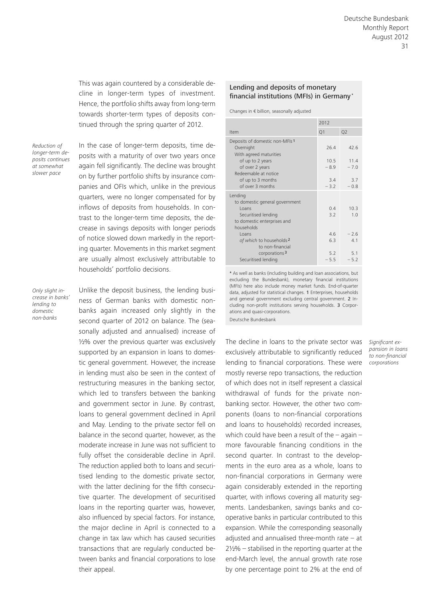This was again countered by a considerable decline in longer-term types of investment. Hence, the portfolio shifts away from long-term towards shorter-term types of deposits continued through the spring quarter of 2012.

*Reduction of longer-term deposits continues at somewhat slower pace*

In the case of longer-term deposits, time deposits with a maturity of over two years once again fell significantly. The decline was brought on by further portfolio shifts by insurance companies and OFIs which, unlike in the previous quarters, were no longer compensated for by inflows of deposits from households. In contrast to the longer-term time deposits, the decrease in savings deposits with longer periods of notice slowed down markedly in the reporting quarter. Movements in this market segment are usually almost exclusively attributable to households' portfolio decisions.

*Only slight increase in banks' lending to domestic non-banks*

Unlike the deposit business, the lending business of German banks with domestic nonbanks again increased only slightly in the second quarter of 2012 on balance. The (seasonally adjusted and annualised) increase of ½% over the previous quarter was exclusively supported by an expansion in loans to domestic general government. However, the increase in lending must also be seen in the context of restructuring measures in the banking sector, which led to transfers between the banking and government sector in June. By contrast, loans to general government declined in April and May. Lending to the private sector fell on balance in the second quarter, however, as the moderate increase in June was not sufficient to fully offset the considerable decline in April. The reduction applied both to loans and securitised lending to the domestic private sector, with the latter declining for the fifth consecutive quarter. The development of securitised loans in the reporting quarter was, however, also influenced by special factors. For instance, the major decline in April is connected to a change in tax law which has caused securities transactions that are regularly conducted between banks and financial corporations to lose their appeal.

## Lending and deposits of monetary financial institutions (MFIs) in Germany\*

Changes in € billion, seasonally adjusted

|                                              | 2012   |                |  |  |
|----------------------------------------------|--------|----------------|--|--|
| Item                                         | Q1     | Q <sub>2</sub> |  |  |
| Deposits of domestic non-MFIs <sup>1</sup>   |        |                |  |  |
| Overnight                                    | 26.4   | 42.6           |  |  |
| With agreed maturities                       |        |                |  |  |
| of up to 2 years                             | 10.5   | 11.4           |  |  |
| of over 2 years                              | $-8.9$ | $-7.0$         |  |  |
| Redeemable at notice                         |        |                |  |  |
| of up to 3 months<br>of over 3 months        | 3.4    | 3.7            |  |  |
|                                              | $-3.2$ | $-0.8$         |  |  |
| Lending                                      |        |                |  |  |
| to domestic general government               |        |                |  |  |
| I oans                                       | 04     | 10.3           |  |  |
| Securitised lending                          | 3.2    | 1.0            |  |  |
| to domestic enterprises and                  |        |                |  |  |
| households                                   |        |                |  |  |
| I oans                                       | 46     | $-2.6$         |  |  |
| of which to households 2<br>to non-financial | 63     | 41             |  |  |
| corporations <sup>3</sup>                    | 5.2    | 5.1            |  |  |
| Securitised lending                          | $-5.5$ | $-5.2$         |  |  |
|                                              |        |                |  |  |

\* As well as banks (including building and loan associations, but excluding the Bundesbank), monetary financial institutions (MFIs) here also include money market funds. End-of-quarter data, adjusted for statistical changes. 1 Enterprises, households and general government excluding central government. 2 Including non-profit institutions serving households. 3 Corporations and quasi-corporations. Deutsche Bundesbank

The decline in loans to the private sector was exclusively attributable to significantly reduced lending to financial corporations. These were mostly reverse repo transactions, the reduction of which does not in itself represent a classical withdrawal of funds for the private nonbanking sector. However, the other two components (loans to non-financial corporations and loans to households) recorded increases, which could have been a result of the – again – more favourable financing conditions in the second quarter. In contrast to the developments in the euro area as a whole, loans to non-financial corporations in Germany were again considerably extended in the reporting quarter, with inflows covering all maturity segments. Landesbanken, savings banks and cooperative banks in particular contributed to this expansion. While the corresponding seasonally adjusted and annualised three-month rate  $-$  at 2½% – stabilised in the reporting quarter at the end-March level, the annual growth rate rose by one percentage point to 2% at the end of

*Significant expansion in loans to non-financial corporations*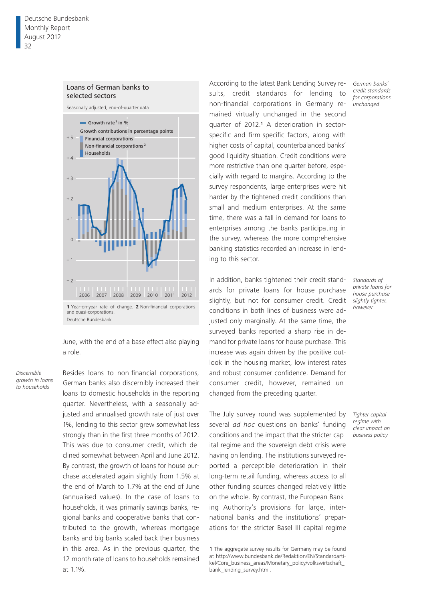## Loans of German banks to selected sectors

Seasonally adjusted, end-of-quarter data



June, with the end of a base effect also playing a role.

*Discernible growth in loans to households*

Besides loans to non-financial corporations, German banks also discernibly increased their loans to domestic households in the reporting quarter. Nevertheless, with a seasonally adjusted and annualised growth rate of just over 1%, lending to this sector grew somewhat less strongly than in the first three months of 2012. This was due to consumer credit, which declined somewhat between April and June 2012. By contrast, the growth of loans for house purchase accelerated again slightly from 1.5% at the end of March to 1.7% at the end of June (annualised values). In the case of loans to households, it was primarily savings banks, regional banks and cooperative banks that contributed to the growth, whereas mortgage banks and big banks scaled back their business in this area. As in the previous quarter, the 12-month rate of loans to households remained at 1.1%.

According to the latest Bank Lending Survey results, credit standards for lending to non-financial corporations in Germany remained virtually unchanged in the second quarter of 2012.1 A deterioration in sectorspecific and firm-specific factors, along with higher costs of capital, counterbalanced banks' good liquidity situation. Credit conditions were more restrictive than one quarter before, especially with regard to margins. According to the survey respondents, large enterprises were hit harder by the tightened credit conditions than small and medium enterprises. At the same time, there was a fall in demand for loans to enterprises among the banks participating in the survey, whereas the more comprehensive banking statistics recorded an increase in lending to this sector.

In addition, banks tightened their credit standards for private loans for house purchase slightly, but not for consumer credit. Credit conditions in both lines of business were adjusted only marginally. At the same time, the surveyed banks reported a sharp rise in demand for private loans for house purchase. This increase was again driven by the positive outlook in the housing market, low interest rates and robust consumer confidence. Demand for consumer credit, however, remained unchanged from the preceding quarter.

The July survey round was supplemented by several *ad hoc* questions on banks' funding conditions and the impact that the stricter capital regime and the sovereign debt crisis were having on lending. The institutions surveyed reported a perceptible deterioration in their long-term retail funding, whereas access to all other funding sources changed relatively little on the whole. By contrast, the European Banking Authority's provisions for large, international banks and the institutions' preparations for the stricter Basel III capital regime

*German banks' credit standards for corporations unchanged*

*Standards of private loans for house purchase slightly tighter, however*

*Tighter capital regime with clear impact on business policy*

<sup>1</sup> The aggregate survey results for Germany may be found at http://www.bundesbank.de/Redaktion/EN/Standardartikel/Core\_business\_areas/Monetary\_policy/volkswirtschaft\_ bank\_lending\_survey.html.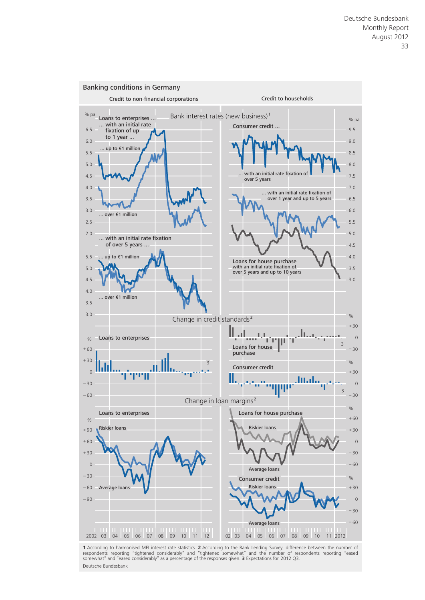

respondents reporting "tightened considerably" and "tightened somewhat" and the number of respondents reporting "eased<br>somewhat"and"eased considerably" as a percentage of the responses given. **3** Expectations for 2012 Q3. Deutsche Bundesbank